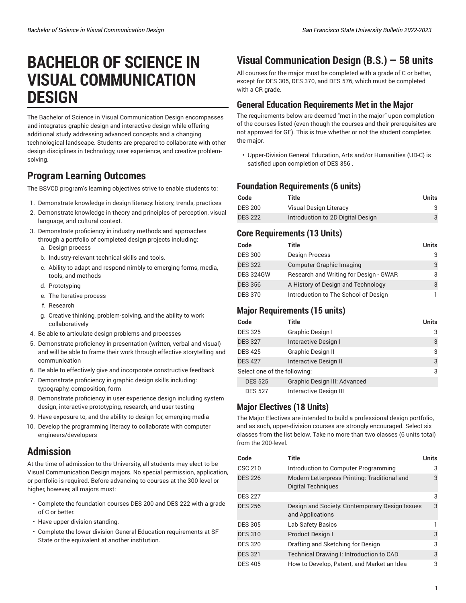# **BACHELOR OF SCIENCE IN VISUAL COMMUNICATION DESIGN**

The Bachelor of Science in Visual Communication Design encompasses and integrates graphic design and interactive design while offering additional study addressing advanced concepts and a changing technological landscape. Students are prepared to collaborate with other design disciplines in technology, user experience, and creative problemsolving.

## **Program Learning Outcomes**

The BSVCD program's learning objectives strive to enable students to:

- 1. Demonstrate knowledge in design literacy: history, trends, practices
- 2. Demonstrate knowledge in theory and principles of perception, visual language, and cultural context.
- 3. Demonstrate proficiency in industry methods and approaches through a portfolio of completed design projects including:
	- a. Design process
	- b. Industry-relevant technical skills and tools.
	- c. Ability to adapt and respond nimbly to emerging forms, media, tools, and methods
	- d. Prototyping
	- e. The Iterative process
	- f. Research
	- g. Creative thinking, problem-solving, and the ability to work collaboratively
- 4. Be able to articulate design problems and processes
- 5. Demonstrate proficiency in presentation (written, verbal and visual) and will be able to frame their work through effective storytelling and communication
- 6. Be able to effectively give and incorporate constructive feedback
- 7. Demonstrate proficiency in graphic design skills including: typography, composition, form
- 8. Demonstrate proficiency in user experience design including system design, interactive prototyping, research, and user testing
- 9. Have exposure to, and the ability to design for, emerging media
- 10. Develop the programming literacy to collaborate with computer engineers/developers

## **Admission**

At the time of admission to the University, all students may elect to be Visual Communication Design majors. No special permission, application, or portfolio is required. Before advancing to courses at the 300 level or higher, however, all majors must:

- Complete the foundation courses DES 200 and DES 222 with a grade of C or better.
- Have upper-division standing.
- Complete the lower-division General Education requirements at SF State or the equivalent at another institution.

## **Visual Communication Design (B.S.) — 58 units**

All courses for the major must be completed with a grade of C or better, except for DES 305, DES 370, and DES 576, which must be completed with a CR grade.

### **General Education Requirements Met in the Major**

The requirements below are deemed "met in the major" upon completion of the courses listed (even though the courses and their prerequisites are not approved for GE). This is true whether or not the student completes the major.

• Upper-Division General Education, Arts and/or Humanities (UD-C) is satisfied upon completion of DES 356 .

#### **Foundation Requirements (6 units)**

| Code           | Title                             | Units |
|----------------|-----------------------------------|-------|
| <b>DES 200</b> | Visual Design Literacy            |       |
| <b>DES 222</b> | Introduction to 2D Digital Design | 3     |

#### **Core Requirements (13 Units)**

| Code             | Title                                  | <b>Units</b> |
|------------------|----------------------------------------|--------------|
| <b>DES 300</b>   | Design Process                         | 3            |
| <b>DES 322</b>   | <b>Computer Graphic Imaging</b>        | 3            |
| <b>DES 324GW</b> | Research and Writing for Design - GWAR | 3            |
| <b>DES 356</b>   | A History of Design and Technology     | 3            |
| <b>DES 370</b>   | Introduction to The School of Design   |              |

#### **Major Requirements (15 units)**

| Code                         | Title                        | <b>Units</b> |
|------------------------------|------------------------------|--------------|
| <b>DES 325</b>               | Graphic Design I             | 3            |
| <b>DES 327</b>               | Interactive Design I         | 3            |
| <b>DES 425</b>               | Graphic Design II            | 3            |
| <b>DES 427</b>               | Interactive Design II        | 3            |
| Select one of the following: |                              | 3            |
| <b>DES 525</b>               | Graphic Design III: Advanced |              |
| <b>DES 527</b>               | Interactive Design III       |              |

#### **Major Electives (18 Units)**

The Major Electives are intended to build a professional design portfolio, and as such, upper-division courses are strongly encouraged. Select six classes from the list below. Take no more than two classes (6 units total) from the 200-level.

| Code           | Title                                                              | <b>Units</b> |
|----------------|--------------------------------------------------------------------|--------------|
| CSC 210        | Introduction to Computer Programming                               | 3            |
| <b>DES 226</b> | Modern Letterpress Printing: Traditional and<br>Digital Techniques | 3            |
| <b>DES 227</b> |                                                                    | 3            |
| <b>DES 256</b> | Design and Society: Contemporary Design Issues<br>and Applications | 3            |
| <b>DES 305</b> | Lab Safety Basics                                                  |              |
| <b>DES 310</b> | Product Design I                                                   | 3            |
| <b>DES 320</b> | Drafting and Sketching for Design                                  | 3            |
| <b>DES 321</b> | Technical Drawing I: Introduction to CAD                           | 3            |
| <b>DES 405</b> | How to Develop, Patent, and Market an Idea                         | 3            |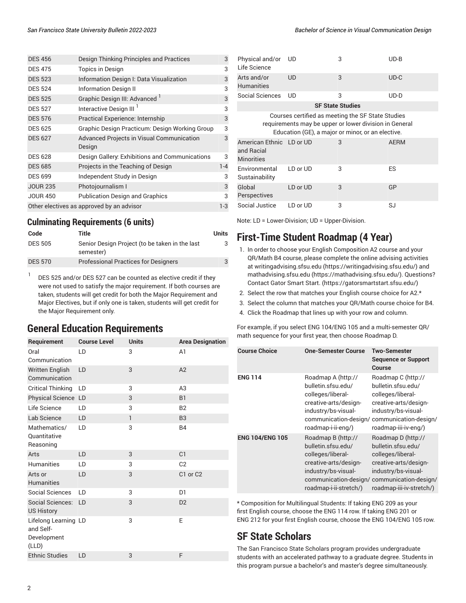| <b>DES 456</b>                                     | Design Thinking Principles and Practices            | 3       |  |  |
|----------------------------------------------------|-----------------------------------------------------|---------|--|--|
| <b>DES 475</b>                                     | <b>Topics in Design</b>                             | 3       |  |  |
| <b>DES 523</b>                                     | Information Design I: Data Visualization            | 3       |  |  |
| <b>DES 524</b>                                     | <b>Information Design II</b>                        | 3       |  |  |
| <b>DES 525</b>                                     | Graphic Design III: Advanced <sup>1</sup>           | 3       |  |  |
| <b>DES 527</b>                                     | Interactive Design III <sup>1</sup>                 | 3       |  |  |
| <b>DES 576</b>                                     | Practical Experience: Internship                    | 3       |  |  |
| <b>DES 625</b>                                     | Graphic Design Practicum: Design Working Group      | 3       |  |  |
| <b>DES 627</b>                                     | Advanced Projects in Visual Communication<br>Design | 3       |  |  |
| <b>DES 628</b>                                     | Design Gallery: Exhibitions and Communications      | 3       |  |  |
| <b>DES 685</b>                                     | Projects in the Teaching of Design                  | $1 - 4$ |  |  |
| <b>DES 699</b>                                     | Independent Study in Design                         | 3       |  |  |
| <b>JOUR 235</b>                                    | Photojournalism I                                   | 3       |  |  |
| <b>JOUR 450</b>                                    | <b>Publication Design and Graphics</b>              | 3       |  |  |
| Other electives as approved by an advisor<br>$1-3$ |                                                     |         |  |  |

#### **Culminating Requirements (6 units)**

| Code           | Title                                                       | <b>Units</b> |
|----------------|-------------------------------------------------------------|--------------|
| <b>DES 505</b> | Senior Design Project (to be taken in the last<br>semester) |              |
| <b>DES 570</b> | <b>Professional Practices for Designers</b>                 |              |

1 DES 525 and/or DES 527 can be counted as elective credit if they were not used to satisfy the major requirement. If both courses are taken, students will get credit for both the Major Requirement and Major Electives, but if only one is taken, students will get credit for the Major Requirement only.

## **General Education Requirements**

| Requirement                                               | <b>Course Level</b> | <b>Units</b> | <b>Area Designation</b> |
|-----------------------------------------------------------|---------------------|--------------|-------------------------|
|                                                           |                     |              |                         |
| Oral<br>Communication                                     | LD                  | 3            | A1                      |
| <b>Written English</b><br>Communication                   | LD                  | 3            | A2                      |
| <b>Critical Thinking</b>                                  | LD                  | 3            | A <sub>3</sub>          |
| Physical Science LD                                       |                     | 3            | <b>B1</b>               |
| Life Science                                              | LD                  | 3            | B <sub>2</sub>          |
| Lab Science                                               | LD                  | $\mathbf{1}$ | B <sub>3</sub>          |
| Mathematics/<br>Quantitative<br>Reasoning                 | LD                  | 3            | <b>B4</b>               |
| Arts                                                      | LD                  | 3            | C <sub>1</sub>          |
| <b>Humanities</b>                                         | LD                  | 3            | C <sub>2</sub>          |
| Arts or<br><b>Humanities</b>                              | LD                  | 3            | C1 or C2                |
| <b>Social Sciences</b>                                    | LD                  | 3            | D <sub>1</sub>          |
| <b>Social Sciences:</b><br><b>US History</b>              | LD                  | 3            | D <sub>2</sub>          |
| Lifelong Learning LD<br>and Self-<br>Development<br>(LLD) |                     | 3            | E                       |
| <b>Ethnic Studies</b>                                     | LD                  | 3            | F                       |

| Physical and/or<br>Life Science                                                                                                                                  | . UD      | 3                       | $UD-B$      |  |
|------------------------------------------------------------------------------------------------------------------------------------------------------------------|-----------|-------------------------|-------------|--|
| Arts and/or<br><b>Humanities</b>                                                                                                                                 | UD        | 3                       | $UD-C$      |  |
| Social Sciences                                                                                                                                                  | <b>UD</b> | 3                       | $UD-D$      |  |
|                                                                                                                                                                  |           | <b>SF State Studies</b> |             |  |
| Courses certified as meeting the SF State Studies<br>requirements may be upper or lower division in General<br>Education (GE), a major or minor, or an elective. |           |                         |             |  |
| American Ethnic LD or UD<br>and Racial<br><b>Minorities</b>                                                                                                      |           | 3                       | <b>AERM</b> |  |
| Environmental<br>Sustainability                                                                                                                                  | LD or UD  | 3                       | ES          |  |
| Global<br>Perspectives                                                                                                                                           | LD or UD  | 3                       | GP          |  |
| Social Justice                                                                                                                                                   | LD or UD  | 3                       | SJ          |  |

Note: LD = Lower-Division; UD = Upper-Division.

## **First-Time Student Roadmap (4 Year)**

- 1. In order to choose your English Composition A2 course and your QR/Math B4 course, please complete the online advising activities at [writingadvising.sfsu.edu \(https://writingadvising.sfsu.edu/](https://writingadvising.sfsu.edu/)) and [mathadvising.sfsu.edu \(https://mathadvising.sfsu.edu/](https://mathadvising.sfsu.edu/)). Questions? Contact Gator [Smart](https://gatorsmartstart.sfsu.edu/) Start. ([https://gatorsmartstart.sfsu.edu/\)](https://gatorsmartstart.sfsu.edu/)
- 2. Select the row that matches your English course choice for A2.\*
- 3. Select the column that matches your QR/Math course choice for B4.
- 4. Click the Roadmap that lines up with your row and column.

For example, if you select ENG 104/ENG 105 and a multi-semester QR/ math sequence for your first year, then choose Roadmap D.

| <b>Course Choice</b>   | <b>One-Semester Course</b>                                                                                                                                       | <b>Two-Semester</b><br><b>Sequence or Support</b><br>Course                                                                                                        |
|------------------------|------------------------------------------------------------------------------------------------------------------------------------------------------------------|--------------------------------------------------------------------------------------------------------------------------------------------------------------------|
| <b>ENG 114</b>         | Roadmap A (http://<br>bulletin.sfsu.edu/<br>colleges/liberal-<br>creative-arts/design-<br>industry/bs-visual-<br>communication-design/<br>roadmap-i-ii-eng/)     | Roadmap C (http://<br>bulletin.sfsu.edu/<br>colleges/liberal-<br>creative-arts/design-<br>industry/bs-visual-<br>communication-design/<br>roadmap-iii-iv-eng/)     |
| <b>ENG 104/ENG 105</b> | Roadmap B (http://<br>bulletin.sfsu.edu/<br>colleges/liberal-<br>creative-arts/design-<br>industry/bs-visual-<br>communication-design/<br>roadmap-i-ii-stretch/) | Roadmap D (http://<br>bulletin.sfsu.edu/<br>colleges/liberal-<br>creative-arts/design-<br>industry/bs-visual-<br>communication-design/<br>roadmap-iii-iv-stretch/) |

\* Composition for Multilingual Students: If taking ENG 209 as your first English course, choose the ENG 114 row. If taking ENG 201 or ENG 212 for your first English course, choose the ENG 104/ENG 105 row.

## **SF State Scholars**

The San Francisco State Scholars program provides undergraduate students with an accelerated pathway to a graduate degree. Students in this program pursue a bachelor's and master's degree simultaneously.